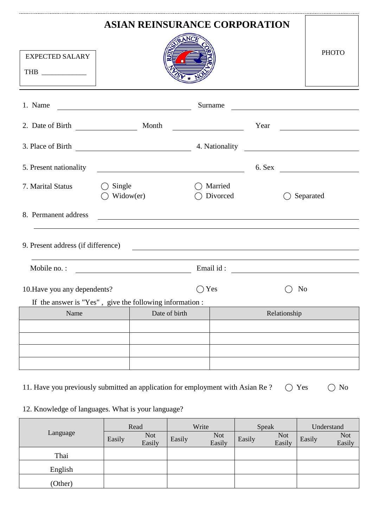| <b>ASIAN REINSURANCE CORPORATION</b>                                             |                     |                                                                                                                      |  |                     |      |                                                                                                                       |
|----------------------------------------------------------------------------------|---------------------|----------------------------------------------------------------------------------------------------------------------|--|---------------------|------|-----------------------------------------------------------------------------------------------------------------------|
| <b>EXPECTED SALARY</b><br>THB $\_\_$                                             |                     |                                                                                                                      |  |                     |      | <b>PHOTO</b>                                                                                                          |
| 1. Name                                                                          |                     | <u> Liste de la construcción de la construcción de la construcción de la construcción de la construcción de la c</u> |  | Surname             |      | <u> 1980 - Jan Stein Stein Stein Stein Stein Stein Stein Stein Stein Stein Stein Stein Stein Stein Stein Stein S</u>  |
|                                                                                  |                     |                                                                                                                      |  |                     | Year | <u> 1989 - Andrea Britain, politik e</u> ta eta p                                                                     |
|                                                                                  |                     |                                                                                                                      |  |                     |      |                                                                                                                       |
| 5. Present nationality                                                           |                     | <u> 2000 - Andrea Andrew Maria (h. 18</u>                                                                            |  |                     |      |                                                                                                                       |
| 7. Marital Status                                                                | Single<br>Widow(er) |                                                                                                                      |  | Married<br>Divorced |      | Separated                                                                                                             |
| 8. Permanent address                                                             |                     |                                                                                                                      |  |                     |      | <u> 1989 - Johann Stoff, deutscher Stoff, der Stoff, der Stoff, der Stoff, der Stoff, der Stoff, der Stoff, der S</u> |
| 9. Present address (if difference)                                               |                     |                                                                                                                      |  |                     |      | <u> 1989 - Andrea Stadt Britain, fransk politik (d. 1989)</u>                                                         |
| Mobile no.:                                                                      |                     | <u> 1990 - Johann Barn, mars ann an t-</u>                                                                           |  |                     |      |                                                                                                                       |
| 10. Have you any dependents?                                                     |                     |                                                                                                                      |  | Yes                 |      | N <sub>0</sub>                                                                                                        |
| If the answer is "Yes", give the following information:<br>Name<br>Date of birth |                     |                                                                                                                      |  |                     |      | Relationship                                                                                                          |
|                                                                                  |                     |                                                                                                                      |  |                     |      |                                                                                                                       |
|                                                                                  |                     |                                                                                                                      |  |                     |      |                                                                                                                       |
|                                                                                  |                     |                                                                                                                      |  |                     |      |                                                                                                                       |
|                                                                                  |                     |                                                                                                                      |  |                     |      |                                                                                                                       |

11. Have you previously submitted an application for employment with Asian Re ?  $\bigcirc$  Yes  $\bigcirc$  No

# 12. Knowledge of languages. What is your language?

|          | Read   |                      | Write  |                      | Speak  |                      | Understand |                      |
|----------|--------|----------------------|--------|----------------------|--------|----------------------|------------|----------------------|
| Language | Easily | <b>Not</b><br>Easily | Easily | <b>Not</b><br>Easily | Easily | <b>Not</b><br>Easily | Easily     | <b>Not</b><br>Easily |
| Thai     |        |                      |        |                      |        |                      |            |                      |
| English  |        |                      |        |                      |        |                      |            |                      |
| (Other)  |        |                      |        |                      |        |                      |            |                      |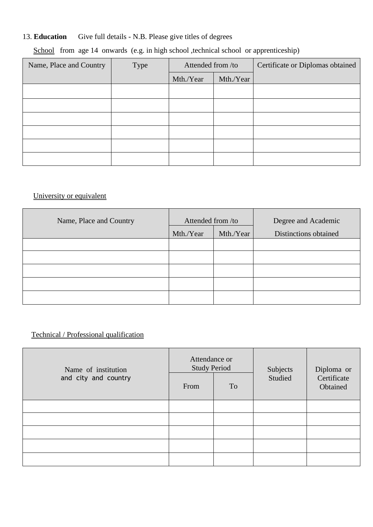## 13. **Education** Give full details - N.B. Please give titles of degrees

## School from age 14 onwards (e.g. in high school ,technical school or apprenticeship)

| Name, Place and Country | Type | Attended from /to |           | Certificate or Diplomas obtained |
|-------------------------|------|-------------------|-----------|----------------------------------|
|                         |      | Mth./Year         | Mth./Year |                                  |
|                         |      |                   |           |                                  |
|                         |      |                   |           |                                  |
|                         |      |                   |           |                                  |
|                         |      |                   |           |                                  |
|                         |      |                   |           |                                  |
|                         |      |                   |           |                                  |

## University or equivalent

| Name, Place and Country | Attended from /to |           | Degree and Academic   |  |
|-------------------------|-------------------|-----------|-----------------------|--|
|                         | Mth./Year         | Mth./Year | Distinctions obtained |  |
|                         |                   |           |                       |  |
|                         |                   |           |                       |  |
|                         |                   |           |                       |  |
|                         |                   |           |                       |  |
|                         |                   |           |                       |  |

## Technical / Professional qualification

| Name of institution  | Attendance or<br><b>Study Period</b> |    | Subjects | Diploma or              |
|----------------------|--------------------------------------|----|----------|-------------------------|
| and city and country | From                                 | To | Studied  | Certificate<br>Obtained |
|                      |                                      |    |          |                         |
|                      |                                      |    |          |                         |
|                      |                                      |    |          |                         |
|                      |                                      |    |          |                         |
|                      |                                      |    |          |                         |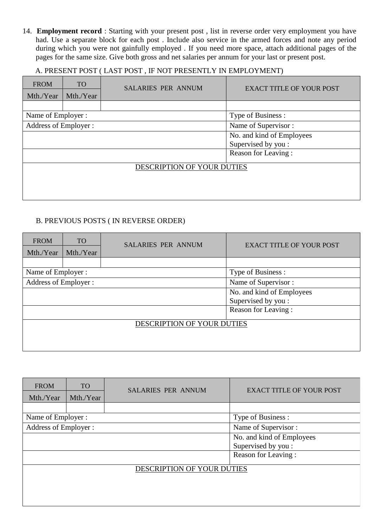14. **Employment record** : Starting with your present post , list in reverse order very employment you have had. Use a separate block for each post . Include also service in the armed forces and note any period during which you were not gainfully employed . If you need more space, attach additional pages of the pages for the same size. Give both gross and net salaries per annum for your last or present post.

#### A. PRESENT POST ( LAST POST , IF NOT PRESENTLY IN EMPLOYMENT)

| <b>FROM</b>           | <b>TO</b> | <b>SALARIES PER ANNUM</b>  | <b>EXACT TITLE OF YOUR POST</b> |  |
|-----------------------|-----------|----------------------------|---------------------------------|--|
| Mth./Year             | Mth./Year |                            |                                 |  |
|                       |           |                            |                                 |  |
| Name of Employer :    |           |                            | Type of Business :              |  |
| Address of Employer : |           |                            | Name of Supervisor:             |  |
|                       |           |                            | No. and kind of Employees       |  |
|                       |           |                            | Supervised by you :             |  |
|                       |           |                            | Reason for Leaving:             |  |
|                       |           | DESCRIPTION OF YOUR DUTIES |                                 |  |
|                       |           |                            |                                 |  |
|                       |           |                            |                                 |  |
|                       |           |                            |                                 |  |

#### B. PREVIOUS POSTS ( IN REVERSE ORDER)

| <b>FROM</b><br>Mth./Year | <b>TO</b><br>Mth./Year | <b>SALARIES PER ANNUM</b>  | <b>EXACT TITLE OF YOUR POST</b> |
|--------------------------|------------------------|----------------------------|---------------------------------|
|                          |                        |                            |                                 |
| Name of Employer :       |                        |                            | Type of Business :              |
| Address of Employer :    |                        |                            | Name of Supervisor:             |
|                          |                        |                            | No. and kind of Employees       |
|                          |                        |                            | Supervised by you :             |
|                          |                        |                            | Reason for Leaving:             |
|                          |                        | DESCRIPTION OF YOUR DUTIES |                                 |
|                          |                        |                            |                                 |
|                          |                        |                            |                                 |

| <b>FROM</b><br>Mth./Year | <b>TO</b><br>Mth./Year | <b>SALARIES PER ANNUM</b>  | <b>EXACT TITLE OF YOUR POST</b> |
|--------------------------|------------------------|----------------------------|---------------------------------|
|                          |                        |                            |                                 |
| Name of Employer :       |                        |                            | Type of Business :              |
| Address of Employer :    |                        |                            | Name of Supervisor:             |
|                          |                        |                            | No. and kind of Employees       |
|                          |                        |                            | Supervised by you :             |
|                          |                        |                            | Reason for Leaving:             |
|                          |                        | DESCRIPTION OF YOUR DUTIES |                                 |
|                          |                        |                            |                                 |
|                          |                        |                            |                                 |
|                          |                        |                            |                                 |